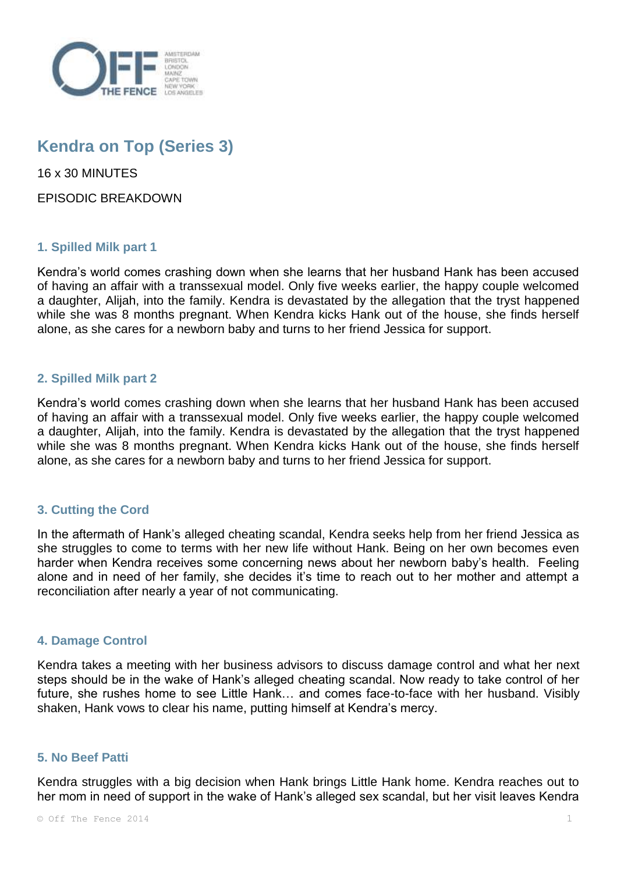

# **Kendra on Top (Series 3)**

16 x 30 MINUTES

EPISODIC BREAKDOWN

# **1. Spilled Milk part 1**

Kendra's world comes crashing down when she learns that her husband Hank has been accused of having an affair with a transsexual model. Only five weeks earlier, the happy couple welcomed a daughter, Alijah, into the family. Kendra is devastated by the allegation that the tryst happened while she was 8 months pregnant. When Kendra kicks Hank out of the house, she finds herself alone, as she cares for a newborn baby and turns to her friend Jessica for support.

# **2. Spilled Milk part 2**

Kendra's world comes crashing down when she learns that her husband Hank has been accused of having an affair with a transsexual model. Only five weeks earlier, the happy couple welcomed a daughter, Alijah, into the family. Kendra is devastated by the allegation that the tryst happened while she was 8 months pregnant. When Kendra kicks Hank out of the house, she finds herself alone, as she cares for a newborn baby and turns to her friend Jessica for support.

# **3. Cutting the Cord**

In the aftermath of Hank's alleged cheating scandal, Kendra seeks help from her friend Jessica as she struggles to come to terms with her new life without Hank. Being on her own becomes even harder when Kendra receives some concerning news about her newborn baby's health. Feeling alone and in need of her family, she decides it's time to reach out to her mother and attempt a reconciliation after nearly a year of not communicating.

#### **4. Damage Control**

Kendra takes a meeting with her business advisors to discuss damage control and what her next steps should be in the wake of Hank's alleged cheating scandal. Now ready to take control of her future, she rushes home to see Little Hank… and comes face-to-face with her husband. Visibly shaken, Hank vows to clear his name, putting himself at Kendra's mercy.

#### **5. No Beef Patti**

Kendra struggles with a big decision when Hank brings Little Hank home. Kendra reaches out to her mom in need of support in the wake of Hank's alleged sex scandal, but her visit leaves Kendra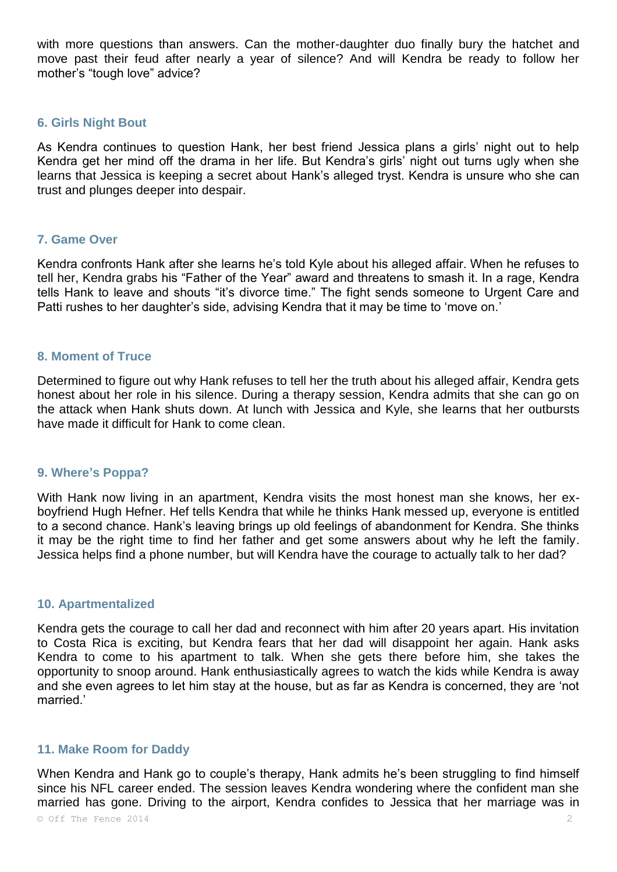with more questions than answers. Can the mother-daughter duo finally bury the hatchet and move past their feud after nearly a year of silence? And will Kendra be ready to follow her mother's "tough love" advice?

#### **6. Girls Night Bout**

As Kendra continues to question Hank, her best friend Jessica plans a girls' night out to help Kendra get her mind off the drama in her life. But Kendra's girls' night out turns ugly when she learns that Jessica is keeping a secret about Hank's alleged tryst. Kendra is unsure who she can trust and plunges deeper into despair.

#### **7. Game Over**

Kendra confronts Hank after she learns he's told Kyle about his alleged affair. When he refuses to tell her, Kendra grabs his "Father of the Year" award and threatens to smash it. In a rage, Kendra tells Hank to leave and shouts "it's divorce time." The fight sends someone to Urgent Care and Patti rushes to her daughter's side, advising Kendra that it may be time to 'move on.'

#### **8. Moment of Truce**

Determined to figure out why Hank refuses to tell her the truth about his alleged affair, Kendra gets honest about her role in his silence. During a therapy session, Kendra admits that she can go on the attack when Hank shuts down. At lunch with Jessica and Kyle, she learns that her outbursts have made it difficult for Hank to come clean.

#### **9. Where's Poppa?**

With Hank now living in an apartment, Kendra visits the most honest man she knows, her exboyfriend Hugh Hefner. Hef tells Kendra that while he thinks Hank messed up, everyone is entitled to a second chance. Hank's leaving brings up old feelings of abandonment for Kendra. She thinks it may be the right time to find her father and get some answers about why he left the family. Jessica helps find a phone number, but will Kendra have the courage to actually talk to her dad?

#### **10. Apartmentalized**

Kendra gets the courage to call her dad and reconnect with him after 20 years apart. His invitation to Costa Rica is exciting, but Kendra fears that her dad will disappoint her again. Hank asks Kendra to come to his apartment to talk. When she gets there before him, she takes the opportunity to snoop around. Hank enthusiastically agrees to watch the kids while Kendra is away and she even agrees to let him stay at the house, but as far as Kendra is concerned, they are 'not married.'

## **11. Make Room for Daddy**

When Kendra and Hank go to couple's therapy, Hank admits he's been struggling to find himself since his NFL career ended. The session leaves Kendra wondering where the confident man she married has gone. Driving to the airport, Kendra confides to Jessica that her marriage was in